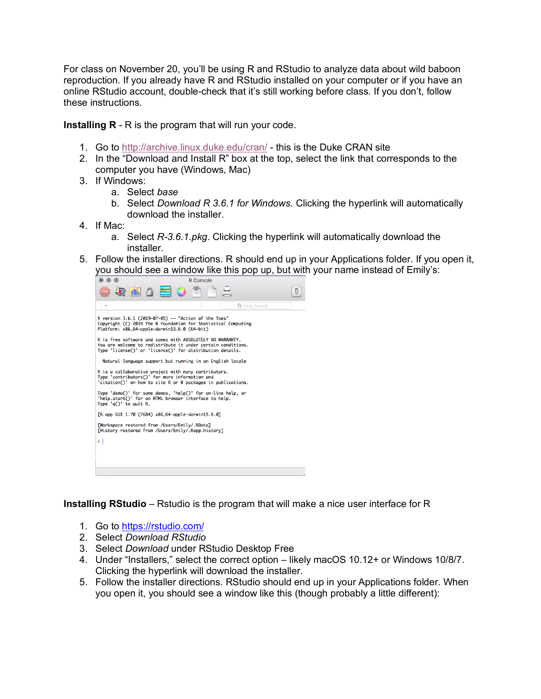For class on November 20, you'll be using R and RStudio to analyze data about wild baboon reproduction. If you already have R and RStudio installed on your computer or if you have an online RStudio account, double-check that it's still working before class. If you don't, follow these instructions.

**Installing R** - R is the program that will run your code.

- 1. Go to http://archive.linux.duke.edu/cran/ this is the Duke CRAN site
- 2. In the "Download and Install R" box at the top, select the link that corresponds to the computer you have (Windows, Mac)
- 3. If Windows:
	- a. Select *base*
	- b. Select *Download R 3.6.1 for Windows*. Clicking the hyperlink will automatically download the installer.
- 4. If Mac:
	- a. Select *R-3.6.1.pkg*. Clicking the hyperlink will automatically download the installer.
- 5. Follow the installer directions. R should end up in your Applications folder. If you open it, you should see a window like this pop up, but with your name instead of Emily's:



**Installing RStudio** – Rstudio is the program that will make a nice user interface for R

- 1. Go to https://rstudio.com/
- 2. Select *Download RStudio*
- 3. Select *Download* under RStudio Desktop Free
- 4. Under "Installers," select the correct option likely macOS 10.12+ or Windows 10/8/7. Clicking the hyperlink will download the installer.
- 5. Follow the installer directions. RStudio should end up in your Applications folder. When you open it, you should see a window like this (though probably a little different):